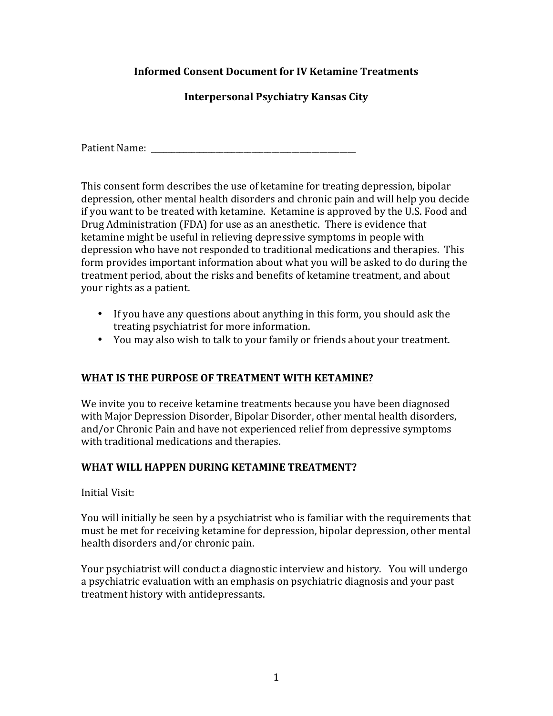# **Informed Consent Document for IV Ketamine Treatments**

**Interpersonal Psychiatry Kansas City** 

Patient Name: \_\_\_\_\_\_\_\_\_\_\_\_\_\_\_\_\_\_\_\_\_\_\_\_\_\_\_\_\_\_\_\_\_\_\_\_\_\_\_\_\_\_\_\_\_\_\_\_\_\_\_

This consent form describes the use of ketamine for treating depression, bipolar depression, other mental health disorders and chronic pain and will help you decide if you want to be treated with ketamine. Ketamine is approved by the U.S. Food and Drug Administration (FDA) for use as an anesthetic. There is evidence that ketamine might be useful in relieving depressive symptoms in people with depression who have not responded to traditional medications and therapies. This form provides important information about what you will be asked to do during the treatment period, about the risks and benefits of ketamine treatment, and about your rights as a patient.

- If you have any questions about anything in this form, you should ask the treating psychiatrist for more information.
- You may also wish to talk to your family or friends about your treatment.

# **WHAT IS THE PURPOSE OF TREATMENT WITH KETAMINE?**

We invite you to receive ketamine treatments because you have been diagnosed with Major Depression Disorder, Bipolar Disorder, other mental health disorders, and/or Chronic Pain and have not experienced relief from depressive symptoms with traditional medications and therapies.

# WHAT WILL HAPPEN DURING KETAMINE TREATMENT?

Initial Visit:

You will initially be seen by a psychiatrist who is familiar with the requirements that must be met for receiving ketamine for depression, bipolar depression, other mental health disorders and/or chronic pain.

Your psychiatrist will conduct a diagnostic interview and history. You will undergo a psychiatric evaluation with an emphasis on psychiatric diagnosis and your past treatment history with antidepressants.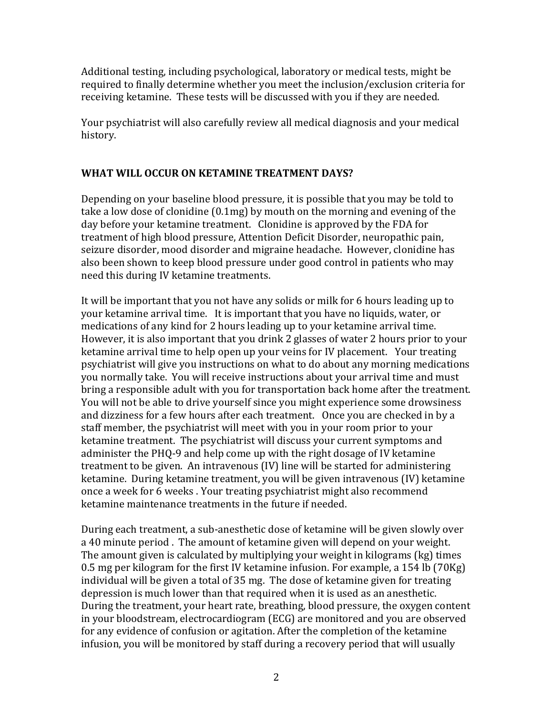Additional testing, including psychological, laboratory or medical tests, might be required to finally determine whether you meet the inclusion/exclusion criteria for receiving ketamine. These tests will be discussed with you if they are needed.

Your psychiatrist will also carefully review all medical diagnosis and your medical history. 

### **WHAT WILL OCCUR ON KETAMINE TREATMENT DAYS?**

Depending on your baseline blood pressure, it is possible that you may be told to take a low dose of clonidine  $(0.1mg)$  by mouth on the morning and evening of the day before your ketamine treatment. Clonidine is approved by the FDA for treatment of high blood pressure, Attention Deficit Disorder, neuropathic pain, seizure disorder, mood disorder and migraine headache. However, clonidine has also been shown to keep blood pressure under good control in patients who may need this during IV ketamine treatments.

It will be important that you not have any solids or milk for 6 hours leading up to your ketamine arrival time. It is important that you have no liquids, water, or medications of any kind for 2 hours leading up to your ketamine arrival time. However, it is also important that you drink 2 glasses of water 2 hours prior to your ketamine arrival time to help open up your veins for IV placement. Your treating psychiatrist will give you instructions on what to do about any morning medications you normally take. You will receive instructions about your arrival time and must bring a responsible adult with you for transportation back home after the treatment. You will not be able to drive yourself since you might experience some drowsiness and dizziness for a few hours after each treatment. Once you are checked in by a staff member, the psychiatrist will meet with you in your room prior to your ketamine treatment. The psychiatrist will discuss your current symptoms and administer the PHO-9 and help come up with the right dosage of IV ketamine treatment to be given. An intravenous (IV) line will be started for administering ketamine. During ketamine treatment, you will be given intravenous (IV) ketamine once a week for 6 weeks. Your treating psychiatrist might also recommend ketamine maintenance treatments in the future if needed.

During each treatment, a sub-anesthetic dose of ketamine will be given slowly over a 40 minute period. The amount of ketamine given will depend on your weight. The amount given is calculated by multiplying your weight in kilograms (kg) times 0.5 mg per kilogram for the first IV ketamine infusion. For example, a 154 lb (70Kg) individual will be given a total of 35 mg. The dose of ketamine given for treating depression is much lower than that required when it is used as an anesthetic. During the treatment, your heart rate, breathing, blood pressure, the oxygen content in your bloodstream, electrocardiogram (ECG) are monitored and you are observed for any evidence of confusion or agitation. After the completion of the ketamine infusion, you will be monitored by staff during a recovery period that will usually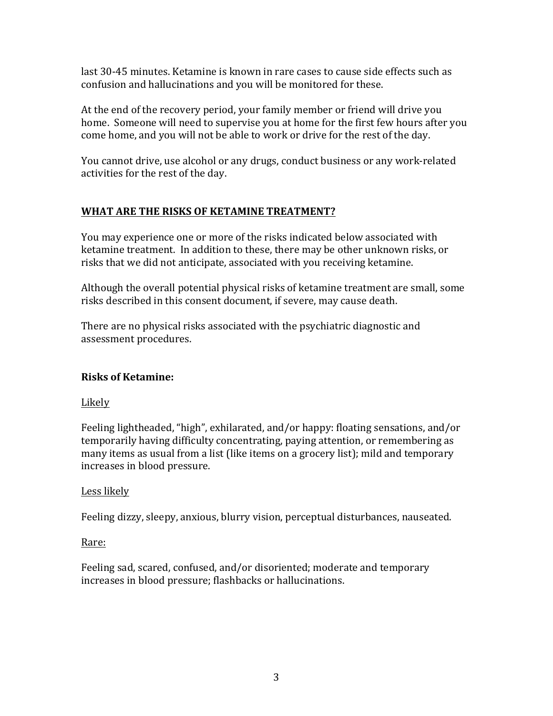last 30-45 minutes. Ketamine is known in rare cases to cause side effects such as confusion and hallucinations and you will be monitored for these.

At the end of the recovery period, your family member or friend will drive you home. Someone will need to supervise you at home for the first few hours after you come home, and you will not be able to work or drive for the rest of the day.

You cannot drive, use alcohol or any drugs, conduct business or any work-related activities for the rest of the day.

# WHAT ARE THE RISKS OF KETAMINE TREATMENT?

You may experience one or more of the risks indicated below associated with ketamine treatment. In addition to these, there may be other unknown risks, or risks that we did not anticipate, associated with you receiving ketamine.

Although the overall potential physical risks of ketamine treatment are small, some risks described in this consent document, if severe, may cause death.

There are no physical risks associated with the psychiatric diagnostic and assessment procedures.

# **Risks of Ketamine:**

#### **Likely**

Feeling lightheaded, "high", exhilarated, and/or happy: floating sensations, and/or temporarily having difficulty concentrating, paying attention, or remembering as many items as usual from a list (like items on a grocery list); mild and temporary increases in blood pressure.

# Less likely

Feeling dizzy, sleepy, anxious, blurry vision, perceptual disturbances, nauseated.

#### Rare:

Feeling sad, scared, confused, and/or disoriented; moderate and temporary increases in blood pressure; flashbacks or hallucinations.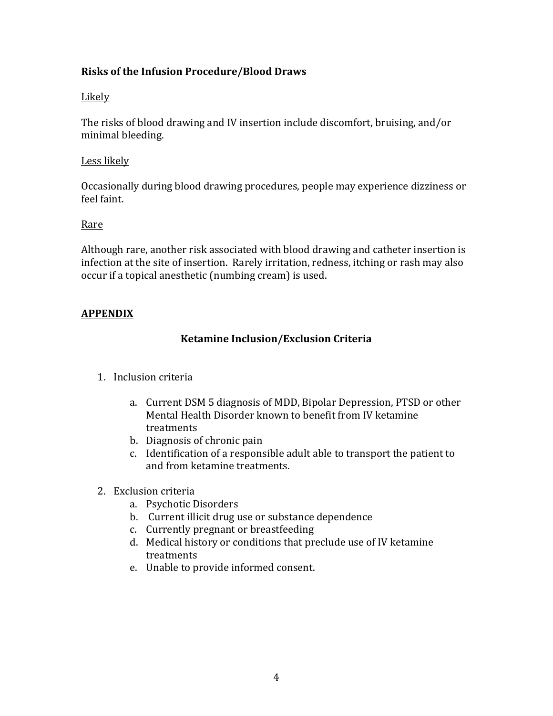### **Risks of the Infusion Procedure/Blood Draws**

#### Likely

The risks of blood drawing and IV insertion include discomfort, bruising, and/or minimal bleeding.

#### Less likely

Occasionally during blood drawing procedures, people may experience dizziness or feel faint.

#### Rare

Although rare, another risk associated with blood drawing and catheter insertion is infection at the site of insertion. Rarely irritation, redness, itching or rash may also occur if a topical anesthetic (numbing cream) is used.

### **APPENDIX**

#### **Ketamine Inclusion/Exclusion Criteria**

- 1. Inclusion criteria
	- a. Current DSM 5 diagnosis of MDD, Bipolar Depression, PTSD or other Mental Health Disorder known to benefit from IV ketamine treatments
	- b. Diagnosis of chronic pain
	- c. Identification of a responsible adult able to transport the patient to and from ketamine treatments.
- 2. Exclusion criteria
	- a. Psychotic Disorders
	- b. Current illicit drug use or substance dependence
	- c. Currently pregnant or breastfeeding
	- d. Medical history or conditions that preclude use of IV ketamine treatments
	- e. Unable to provide informed consent.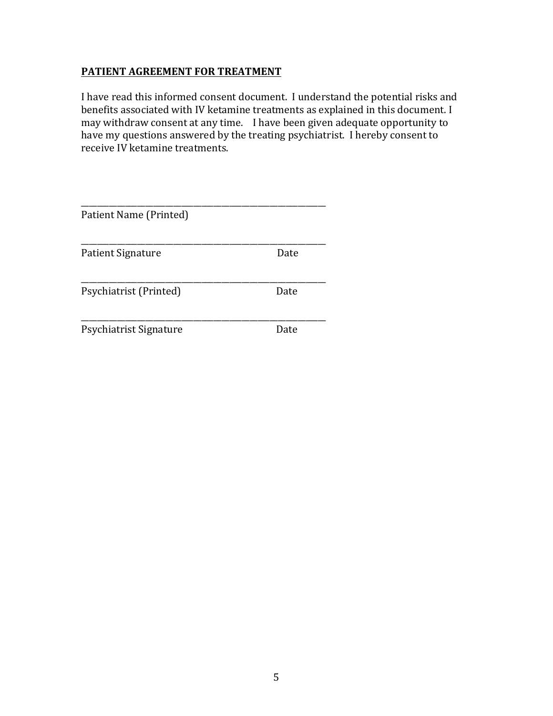# **PATIENT AGREEMENT FOR TREATMENT**

I have read this informed consent document. I understand the potential risks and benefits associated with IV ketamine treatments as explained in this document. I may withdraw consent at any time. I have been given adequate opportunity to have my questions answered by the treating psychiatrist. I hereby consent to receive IV ketamine treatments.

| Patient Name (Printed) |      |
|------------------------|------|
| Patient Signature      | Date |
| Psychiatrist (Printed) | Date |
| Psychiatrist Signature | Date |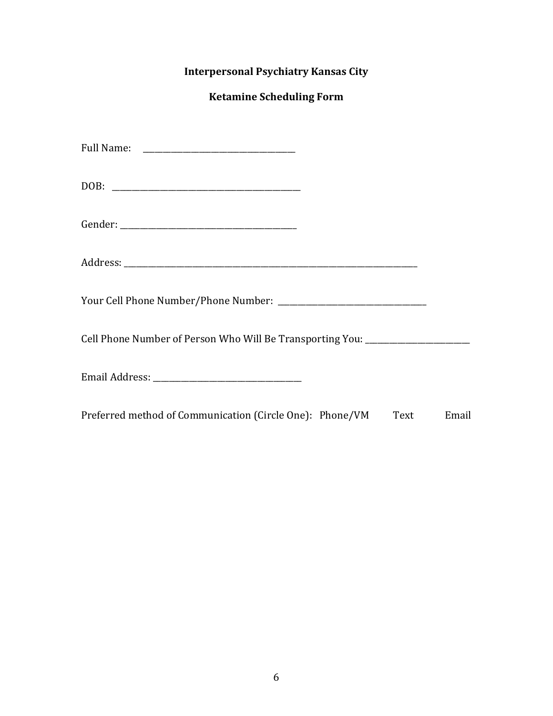# **Interpersonal Psychiatry Kansas City**

# **Ketamine Scheduling Form**

| Cell Phone Number of Person Who Will Be Transporting You: ______________________ |      |       |
|----------------------------------------------------------------------------------|------|-------|
|                                                                                  |      |       |
| Preferred method of Communication (Circle One): Phone/VM                         | Text | Email |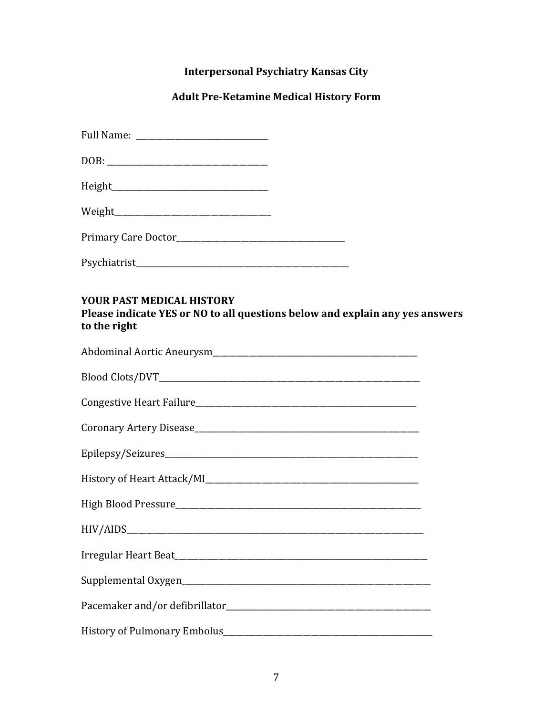# **Interpersonal Psychiatry Kansas City**

# **Adult Pre-Ketamine Medical History Form**

| <b>YOUR PAST MEDICAL HISTORY</b><br>Please indicate YES or NO to all questions below and explain any yes answers<br>to the right |
|----------------------------------------------------------------------------------------------------------------------------------|
|                                                                                                                                  |
|                                                                                                                                  |
|                                                                                                                                  |
|                                                                                                                                  |
|                                                                                                                                  |
|                                                                                                                                  |
|                                                                                                                                  |
| HIV/AIDS                                                                                                                         |
|                                                                                                                                  |
|                                                                                                                                  |
|                                                                                                                                  |
|                                                                                                                                  |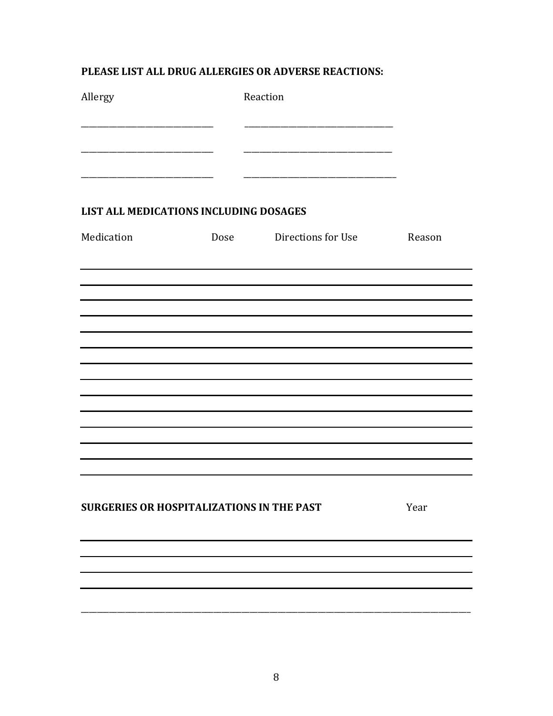# PLEASE LIST ALL DRUG ALLERGIES OR ADVERSE REACTIONS:

| Allergy                                          | Reaction                |        |
|--------------------------------------------------|-------------------------|--------|
|                                                  |                         |        |
| LIST ALL MEDICATIONS INCLUDING DOSAGES           |                         |        |
| Medication                                       | Dose Directions for Use | Reason |
|                                                  |                         |        |
|                                                  |                         |        |
|                                                  |                         |        |
|                                                  |                         |        |
|                                                  |                         |        |
|                                                  |                         |        |
|                                                  |                         |        |
|                                                  |                         |        |
|                                                  |                         |        |
|                                                  |                         |        |
|                                                  |                         |        |
| <b>SURGERIES OR HOSPITALIZATIONS IN THE PAST</b> |                         | Year   |
|                                                  |                         |        |
|                                                  |                         |        |
|                                                  |                         |        |
|                                                  |                         |        |
|                                                  |                         |        |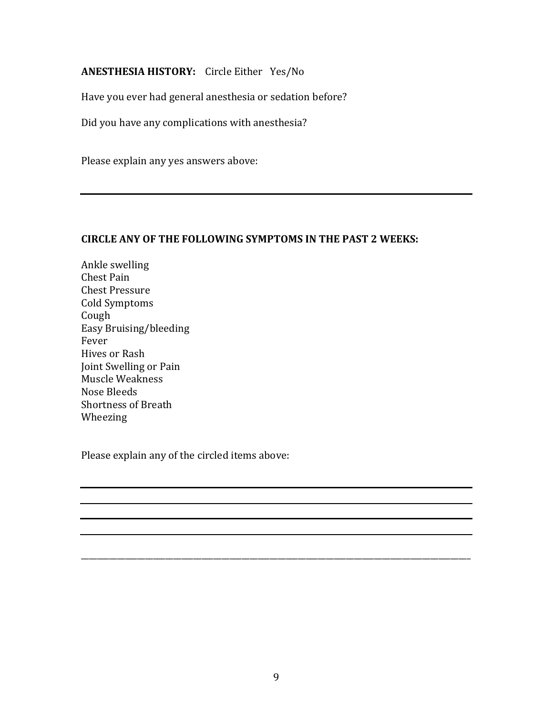# **ANESTHESIA HISTORY:** Circle Either Yes/No

Have you ever had general anesthesia or sedation before?

Did you have any complications with anesthesia?

Please explain any yes answers above:

#### **CIRCLE ANY OF THE FOLLOWING SYMPTOMS IN THE PAST 2 WEEKS:**

Ankle swelling Chest Pain Chest Pressure Cold Symptoms Cough Easy Bruising/bleeding Fever Hives or Rash Joint Swelling or Pain Muscle Weakness Nose Bleeds Shortness of Breath Wheezing

Please explain any of the circled items above:

\_\_\_\_\_\_\_\_\_\_\_\_\_\_\_\_\_\_\_\_\_\_\_\_\_\_\_\_\_\_\_\_\_\_\_\_\_\_\_\_\_\_\_\_\_\_\_\_\_\_\_\_\_\_\_\_\_\_\_\_\_\_\_\_\_\_\_\_\_\_\_\_\_\_\_\_\_\_\_\_\_\_\_\_\_\_\_\_\_\_\_\_\_\_\_\_\_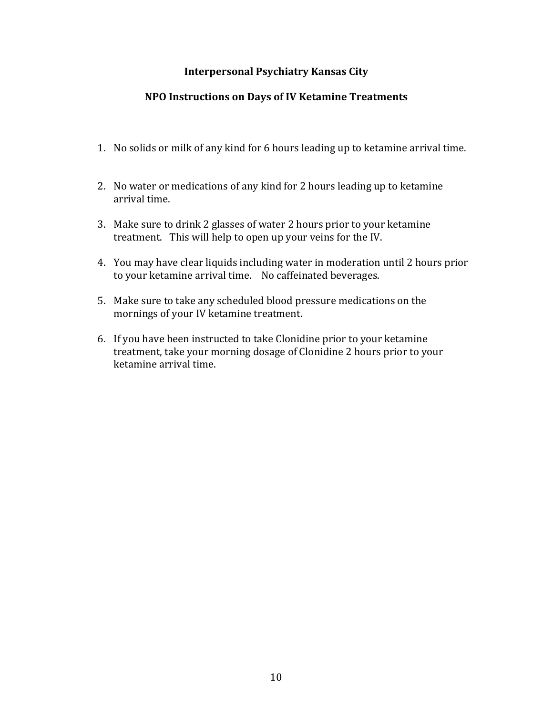#### **Interpersonal Psychiatry Kansas City**

# **NPO Instructions on Days of IV Ketamine Treatments**

- 1. No solids or milk of any kind for 6 hours leading up to ketamine arrival time.
- 2. No water or medications of any kind for 2 hours leading up to ketamine arrival time.
- 3. Make sure to drink 2 glasses of water 2 hours prior to your ketamine treatment. This will help to open up your veins for the IV.
- 4. You may have clear liquids including water in moderation until 2 hours prior to your ketamine arrival time. No caffeinated beverages.
- 5. Make sure to take any scheduled blood pressure medications on the mornings of your IV ketamine treatment.
- 6. If you have been instructed to take Clonidine prior to your ketamine treatment, take your morning dosage of Clonidine 2 hours prior to your ketamine arrival time.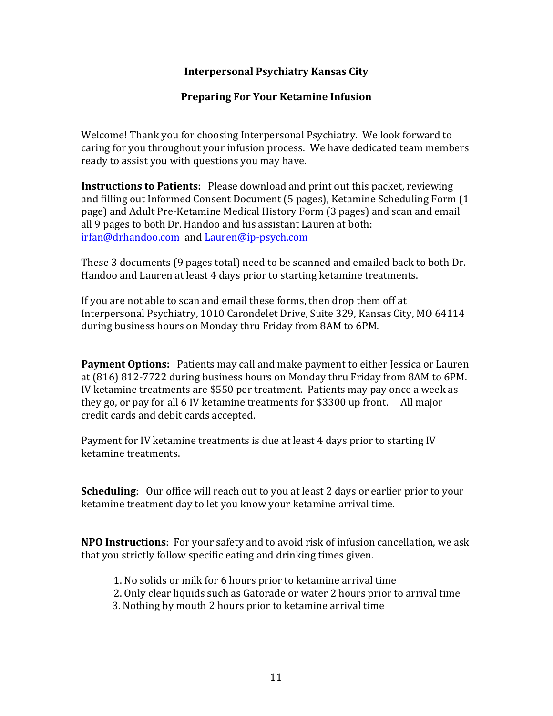#### **Interpersonal Psychiatry Kansas City**

#### **Preparing For Your Ketamine Infusion**

Welcome! Thank you for choosing Interpersonal Psychiatry. We look forward to caring for you throughout your infusion process. We have dedicated team members ready to assist you with questions you may have.

**Instructions to Patients:** Please download and print out this packet, reviewing and filling out Informed Consent Document (5 pages), Ketamine Scheduling Form (1 page) and Adult Pre-Ketamine Medical History Form (3 pages) and scan and email all 9 pages to both Dr. Handoo and his assistant Lauren at both: irfan@drhandoo.com and Lauren@ip-psych.com

These 3 documents (9 pages total) need to be scanned and emailed back to both Dr. Handoo and Lauren at least 4 days prior to starting ketamine treatments.

If you are not able to scan and email these forms, then drop them off at Interpersonal Psychiatry, 1010 Carondelet Drive, Suite 329, Kansas City, MO 64114 during business hours on Monday thru Friday from 8AM to 6PM.

**Payment Options:** Patients may call and make payment to either Jessica or Lauren at (816) 812-7722 during business hours on Monday thru Friday from 8AM to 6PM. IV ketamine treatments are \$550 per treatment. Patients may pay once a week as they go, or pay for all 6 IV ketamine treatments for \$3300 up front. All major credit cards and debit cards accepted.

Payment for IV ketamine treatments is due at least 4 days prior to starting IV ketamine treatments.

**Scheduling**: Our office will reach out to you at least 2 days or earlier prior to your ketamine treatment day to let you know your ketamine arrival time.

**NPO Instructions**: For your safety and to avoid risk of infusion cancellation, we ask that you strictly follow specific eating and drinking times given.

- 1. No solids or milk for 6 hours prior to ketamine arrival time
- 2. Only clear liquids such as Gatorade or water 2 hours prior to arrival time
- 3. Nothing by mouth 2 hours prior to ketamine arrival time